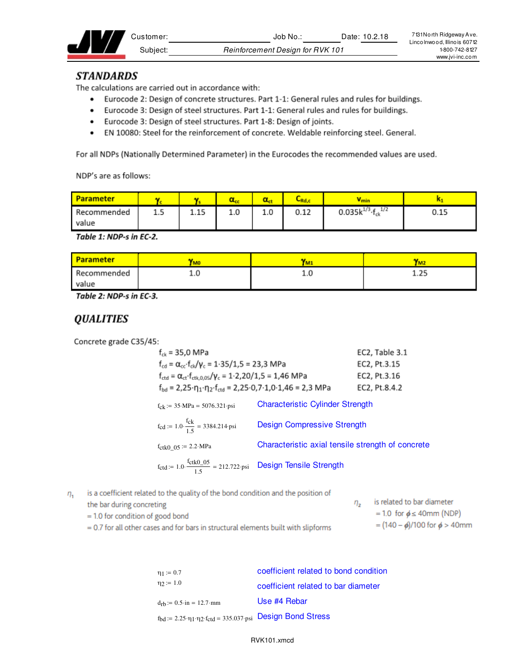|  | ∴ustomer: | 10.2.18<br>Date:<br>-Job No      | 7131 North Ridgeway Ave.<br>Lincolnwood, Illinois 60712 |
|--|-----------|----------------------------------|---------------------------------------------------------|
|  | Subiect:  | Reinforcement Design for RVK 101 | 1-800-742-8127                                          |
|  |           |                                  | MAAN ivi-inc.com                                        |

#### **STANDARDS**

The calculations are carried out in accordance with:

- Eurocode 2: Design of concrete structures. Part 1-1: General rules and rules for buildings.
- Eurocode 3: Design of steel structures. Part 1-1: General rules and rules for buildings.
- Eurocode 3: Design of steel structures. Part 1-8: Design of joints.
- EN 10080: Steel for the reinforcement of concrete. Weldable reinforcing steel. General.

For all NDPs (Nationally Determined Parameter) in the Eurocodes the recommended values are used.

NDP's are as follows:

| <b>Parameter</b> |     |      |     |     | $C_{\mathsf{Rd},\ell}$ | V min                             |      |
|------------------|-----|------|-----|-----|------------------------|-----------------------------------|------|
| Recommended      | 1.5 | 1.15 | 1.0 | 1.0 | 0.12                   | 1/2<br>0.035 $k^{1/3}$ · $f_{ck}$ | 0.15 |
| value            |     |      |     |     |                        |                                   |      |

Table 1: NDP-s in EC-2.

| <b>Parameter</b> | <b>YMO</b> | <b>TM</b> | IM2  |
|------------------|------------|-----------|------|
| Recommended      | ∸∙∾        | ⊥.∪       | 1.25 |
| value            |            |           |      |

Table 2: NDP-s in EC-3.

# **QUALITIES**

Concrete grade C35/45:

| $f_{ck}$ = 35,0 MPa                                                                                                           |                                                   | EC2, Table 3.1 |
|-------------------------------------------------------------------------------------------------------------------------------|---------------------------------------------------|----------------|
| $f_{cd} = \alpha_{cc} \cdot f_{ck}/\gamma_c = 1.35/1.5 = 23.3 \text{ MPa}$                                                    |                                                   | EC2, Pt.3.15   |
| $f_{\text{ctd}} = \alpha_{\text{ct}} \cdot f_{\text{ctk},0.05} / \gamma_c = 1.2,20/1,5 = 1,46 \text{ MPa}$                    |                                                   | EC2, Pt.3.16   |
| $f_{\text{bd}} = 2.25 \cdot \eta_1 \cdot \eta_2 \cdot f_{\text{ctd}} = 2.25 \cdot 0.7 \cdot 1.0 \cdot 1.46 = 2.3 \text{ MPa}$ |                                                   | EC2, Pt.8.4.2  |
| $f_{ck} := 35 \text{ MPa} = 5076.321 \text{psi}$                                                                              | <b>Characteristic Cylinder Strength</b>           |                |
| $f_{\text{cd}} := 1.0 \cdot \frac{f_{\text{ck}}}{1.5} = 3384.214 \text{psi}$                                                  | <b>Design Compressive Strength</b>                |                |
| $f_{\text{ctk0}}_{0.05}$ := 2.2 MPa                                                                                           | Characteristic axial tensile strength of concrete |                |
| $f_{\text{ctd}} = 1.0 \cdot \frac{f_{\text{ctk0}} - 0.5}{1.5} = 212.722 \cdot \text{psi}$ Design Tensile Strength             |                                                   |                |

is a coefficient related to the quality of the bond condition and the position of  $\eta_{1}$ 

| the bar during concreting                                                            | is related to bar diameter              |
|--------------------------------------------------------------------------------------|-----------------------------------------|
| $=$ 1.0 for condition of good bond                                                   | $= 1.0$ for $\phi \leq 40$ mm (NDP)     |
| $= 0.7$ for all other cases and for bars in structural elements built with slipforms | = $(140 - \phi)/100$ for $\phi > 40$ mm |

 $= 0.7$  for all other cases and for bars in structural elements built with slipforms

| $\eta_1 := 0.7$                                                                                                      | coefficient related to bond condition |
|----------------------------------------------------------------------------------------------------------------------|---------------------------------------|
| $\eta_2 := 1.0$                                                                                                      | coefficient related to bar diameter   |
| $d_{rb} := 0.5 \cdot in = 12.7 \cdot mm$                                                                             | Use #4 Rebar                          |
| $f_{\text{bd}} := 2.25 \cdot \eta_1 \cdot \eta_2 \cdot f_{\text{ctd}} = 335.037 \cdot \text{psi}$ Design Bond Stress |                                       |

RVK101.xmcd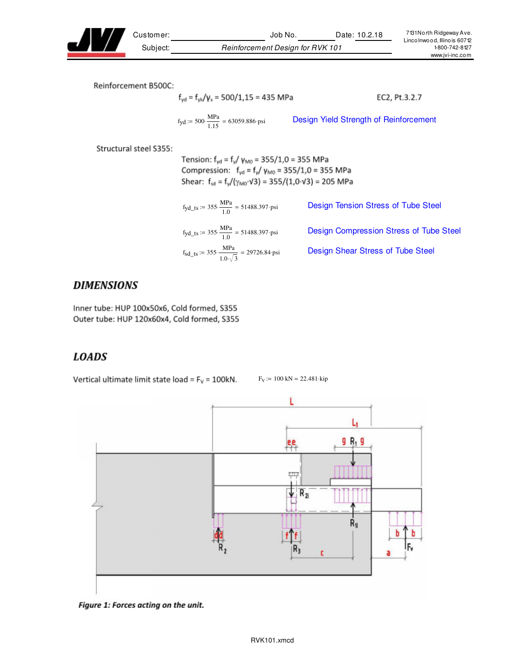

Customer: Job No. Date: 10.2.18 Subject: Reinforcement Design for RVK 101

Reinforcement B500C:

$$
f_{yd} = f_{y|d}/\gamma_s = 500/1,15 = 435 \text{ MPa}
$$
 EC2, Pt.3.2.7  

$$
f_{yd} := 500 \cdot \frac{\text{MPa}}{1.15} = 63059.886 \text{ psi}
$$
 Design Yield Strength of Reinforcement

Structural steel S355:

Tension:  $f_{yd} = f_y / \gamma_{M0} = 355 / 1,0 = 355 \text{ MPa}$ Compression:  $f_{yd} = f_{y}/ \gamma_{M0} = 355/1,0 = 355 \text{ MPa}$ Shear:  $f_{sd} = f_v/(\gamma_{MO} \cdot \sqrt{3}) = 355/(1.0 \cdot \sqrt{3}) = 205 \text{ MPa}$ 

| $f_{\text{yd\_ts}} := 355 \cdot \frac{\text{MPa}}{1.0} = 51488.397 \cdot \text{psi}$ | Design Tension Stress of Tube Steel     |
|--------------------------------------------------------------------------------------|-----------------------------------------|
| $f_{\text{yd\_ts}} := 355 \cdot \frac{\text{MPa}}{1.0} = 51488.397 \cdot \text{psi}$ | Design Compression Stress of Tube Steel |
| $f_{sd\_ts}$ := 355. $\frac{MPa}{1.0\sqrt{3}}$ = 29726.84 psi                        | Design Shear Stress of Tube Steel       |

## **DIMENSIONS**

Inner tube: HUP 100x50x6, Cold formed, S355 Outer tube: HUP 120x60x4, Cold formed, S355

## **LOADS**

Vertical ultimate limit state load =  $F_v$  = 100kN.

 $F_V := 100$  kN = 22.481 kip



Figure 1: Forces acting on the unit.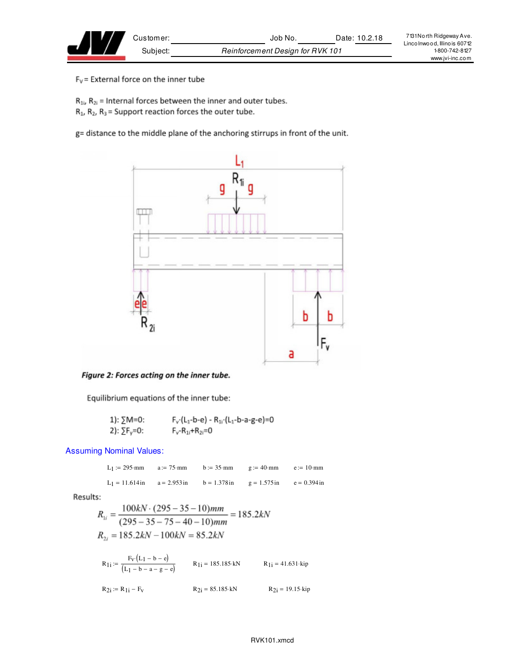$F_V$  = External force on the inner tube

 $R_{1i}$ ,  $R_{2i}$  = Internal forces between the inner and outer tubes.

 $R_1$ ,  $R_2$ ,  $R_3$  = Support reaction forces the outer tube.

g= distance to the middle plane of the anchoring stirrups in front of the unit.



Figure 2: Forces acting on the inner tube.

Equilibrium equations of the inner tube:

1): 
$$
\sum M = 0
$$
:  
\n $F_v(L_1-b-e) - R_{11}(L_1-b-a-g-e) = 0$   
\n2):  $\sum F_v = 0$ :  
\n $F_v - R_{11} + R_{21} = 0$ 

Assuming Nominal Values:

 $L_1 := 295$ ·mm  $a := 75$ ·mm  $b := 35$ ·mm  $g := 40$ ·mm  $e := 10$ ·mm L<sub>1</sub> = 11.614 in a = 2.953 in b = 1.378 in g = 1.575 in e = 0.394 in

Results:

$$
R_{1i} = \frac{100kN \cdot (295 - 35 - 10)mm}{(295 - 35 - 75 - 40 - 10)mm} = 185.2kN
$$
  

$$
R_{2i} = 185.2kN - 100kN = 85.2kN
$$

$$
R_{1i} := \frac{F_v (L_1 - b - e)}{(L_1 - b - a - g - e)}
$$
  
\n
$$
R_{1i} = 185.185 \cdot kN
$$
  
\n
$$
R_{1i} = 41.631 \cdot kip
$$
  
\n
$$
R_{2i} = R_{1i} - F_v
$$
  
\n
$$
R_{2i} = 85.185 \cdot kN
$$
  
\n
$$
R_{2i} = 19.15 \cdot kip
$$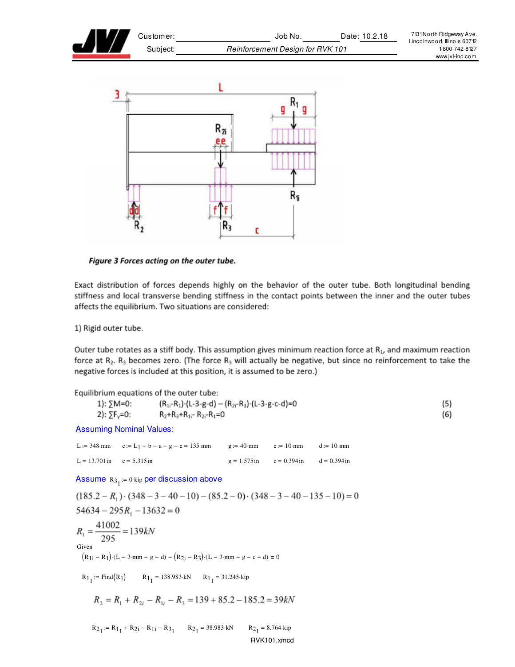



Figure 3 Forces acting on the outer tube.

Exact distribution of forces depends highly on the behavior of the outer tube. Both longitudinal bending stiffness and local transverse bending stiffness in the contact points between the inner and the outer tubes affects the equilibrium. Two situations are considered:

1) Rigid outer tube.

Outer tube rotates as a stiff body. This assumption gives minimum reaction force at  $R_1$ , and maximum reaction force at  $R_2$ .  $R_3$  becomes zero. (The force  $R_3$  will actually be negative, but since no reinforcement to take the negative forces is included at this position, it is assumed to be zero.)

Equilibrium equations of the outer tube:  $(R_{1i}-R_1)$  (L-3-g-d) –  $(R_{2i}-R_3)$  (L-3-g-c-d)=0 1):  $\Sigma M = 0$ :  $(5)$ 2):  $\Sigma F_v = 0$ :  $R_2+R_3+R_{1i}$ -  $R_{2i}$ - $R_1=0$ (6) **Assuming Nominal Values:** L:= 348 mm  $c := L_1 - b - a - g - e = 135$  mm  $g := 40$  mm  $e := 10·mm$  $d := 10$ ·mm  $L = 13.701$  in  $c = 5.315$  in  $g = 1.575$  in  $e = 0.394$  in  $d = 0.394$ in Assume  $R_{3_1} = 0$  kip per discussion above  $(185.2 - R_1) \cdot (348 - 3 - 40 - 10) - (85.2 - 0) \cdot (348 - 3 - 40 - 135 - 10) = 0$  $54634 - 295R_1 - 13632 = 0$  $R_1 = \frac{41002}{295} = 139kN$ Given  $(R_{1i} - R_1) \cdot (L - 3 \cdot mm - g - d) - (R_{2i} - R_3) \cdot (L - 3 \cdot mm - g - c - d) = 0$  $R_{1_1}$  = Find(R<sub>1</sub>)  $R_{1_1}$  = 138.983 kN  $R_{1_1}$  = 31.245 kip  $R_2 = R_1 + R_{2i} - R_{1i} - R_3 = 139 + 85.2 - 185.2 = 39kN$  $R_{2_1} = R_{1_1} + R_{2i} - R_{1i} - R_{3_1}$   $R_{2_1} = 38.983$  kN  $R_{2_1} = 8.764 \cdot kip$ RVK101.xmcd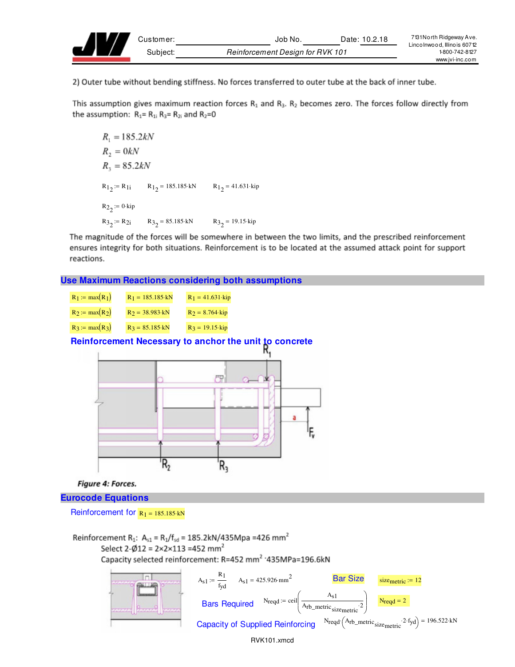

2) Outer tube without bending stiffness. No forces transferred to outer tube at the back of inner tube.

This assumption gives maximum reaction forces  $R_1$  and  $R_3$ .  $R_2$  becomes zero. The forces follow directly from the assumption:  $R_1 = R_{1i} R_3 = R_{2i}$  and  $R_2 = 0$ 

```
R_1 = 185.2kNR_2 = 0kNR_3 = 85.2kNR_1: = R<sub>1</sub> R_1 = 185.185 kN R_1 = 41.631 kip
R_2 := 0 kip
R3_2 = R2i R3_2 = 85.185 kN R3_2 = 19.15 kip
```
The magnitude of the forces will be somewhere in between the two limits, and the prescribed reinforcement ensures integrity for both situations. Reinforcement is to be located at the assumed attack point for support reactions.

#### **Use Maximum Reactions considering both assumptions**



**Figure 4: Forces.** 

**Eurocode Equations** 

Reinforcement for  $R_1 = 185.185 \cdot kN$ 

Reinforcement R<sub>1</sub>: A<sub>s1</sub> = R<sub>1</sub>/f<sub>sd</sub> = 185.2kN/435Mpa = 426 mm<sup>2</sup> Select 2- $\phi$ 12 = 2×2×113 =452 mm<sup>2</sup> Capacity selected reinforcement: R=452 mm<sup>2</sup> · 435MPa=196.6kN

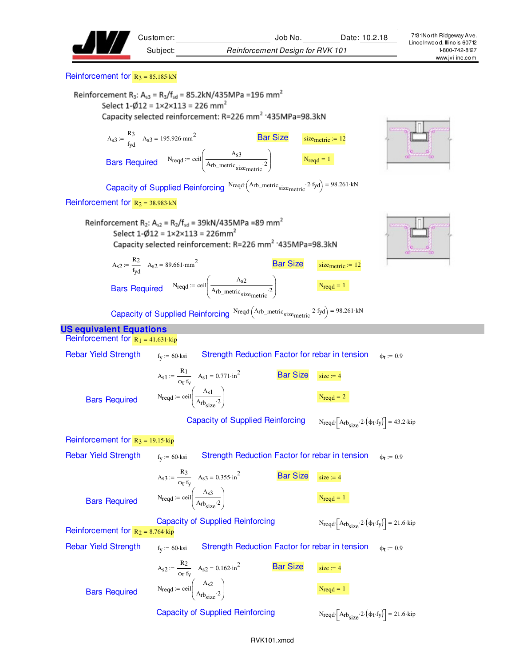|                                             | Subject:<br><b>Reinforcement Design for RVK 101</b>                                                                                                                                                                                                                      |                                                                                                                                   | Linco Inwood, Illino is 60712<br>1-800-742-8127<br>www.jvi-inc.com |
|---------------------------------------------|--------------------------------------------------------------------------------------------------------------------------------------------------------------------------------------------------------------------------------------------------------------------------|-----------------------------------------------------------------------------------------------------------------------------------|--------------------------------------------------------------------|
| Reinforcement for $R_3 = 85.185$ kN         |                                                                                                                                                                                                                                                                          |                                                                                                                                   |                                                                    |
|                                             | Reinforcement R <sub>3</sub> : A <sub>s3</sub> = R <sub>3</sub> /f <sub>sd</sub> = 85.2kN/435MPa = 196 mm <sup>2</sup><br>Select $1-\cancel{0}12 = 1 \times 2 \times 113 = 226$ mm <sup>2</sup><br>Capacity selected reinforcement: R=226 mm <sup>2</sup> '435MPa=98.3kN |                                                                                                                                   |                                                                    |
|                                             | $A_{s3} := \frac{R_3}{f_{vd}}$ $A_{s3} = 195.926 \text{ mm}^2$<br><b>Bar Size</b><br>Bars Required $N_{\text{reqd}} = \text{ceil}\left(\frac{A_{s3}}{A_{\text{rb\_metric}} \cdot \text{size}_{\text{metric}}}\right)$ $N_{\text{reqd}} = 1$                              | size <sub>metric</sub> $:= 12$                                                                                                    |                                                                    |
|                                             | Capacity of Supplied Reinforcing $N_{\text{reqd}}\left(A_{\text{rb\_metric}}\right)_{\text{size}}$ and $2 \cdot f_{\text{yd}} = 98.261 \cdot kN$                                                                                                                         |                                                                                                                                   |                                                                    |
| Reinforcement for $R_2 = 38.983 \text{ kN}$ |                                                                                                                                                                                                                                                                          |                                                                                                                                   |                                                                    |
|                                             | Reinforcement R <sub>2</sub> : A <sub>s2</sub> = R <sub>2</sub> /f <sub>sd</sub> = 39kN/435MPa =89 mm <sup>2</sup><br>Select $1-\cancel{0}12 = 1 \times 2 \times 113 = 226$ mm <sup>2</sup><br>Capacity selected reinforcement: R=226 mm <sup>2</sup> '435MPa=98.3kN     |                                                                                                                                   |                                                                    |
|                                             | $A_{s2} := \frac{R_2}{f_{vd}}$ $A_{s2} = 89.661 \cdot mm^2$<br><b>Bar Size</b>                                                                                                                                                                                           | size $metric := 12$                                                                                                               |                                                                    |
|                                             | Bars Required $N_{\text{reqd}} = \text{ceil} \left( \frac{A_{s2}}{A_{\text{rb\_metric}} \cdot \text{r}_{\text{r}} \cdot \text{r}_{\text{r}}} \right)$                                                                                                                    | $N_{\text{reqd}} = 1$                                                                                                             |                                                                    |
|                                             | Capacity of Supplied Reinforcing $N_{\text{reqd}}\left(A_{\text{rb\_metric}}\right)_{\text{size}}$ and $2 \cdot f_{\text{yd}} = 98.261 \cdot kN$                                                                                                                         |                                                                                                                                   |                                                                    |
| <b>US equivalent Equations</b>              |                                                                                                                                                                                                                                                                          |                                                                                                                                   |                                                                    |
| Reinforcement for $R_1 = 41.631$ kip        |                                                                                                                                                                                                                                                                          |                                                                                                                                   |                                                                    |
| <b>Rebar Yield Strength</b>                 | Strength Reduction Factor for rebar in tension<br>$f_V := 60$ ·ksi                                                                                                                                                                                                       | $\phi$ <sub>t</sub> := 0.9                                                                                                        |                                                                    |
| <b>Bars Required</b>                        | $A_{s1} := \frac{R_1}{\phi_f \cdot f_v}$ $A_{s1} = 0.771 \cdot \text{in}^2$<br><b>Bar Size</b><br>$N_{\text{reqd}} := \text{ceil}\left(\frac{A_{\text{S1}}}{A_{\text{rb}}}\right)$                                                                                       | $size := 4$<br>$N_{\text{reqd}} = 2$                                                                                              |                                                                    |
|                                             | <b>Capacity of Supplied Reinforcing</b>                                                                                                                                                                                                                                  | $N_{\text{reqd}} \left[ A_{\text{rb}_{\text{size}}} 2 \cdot (\phi_{\text{t}} \cdot f_{\text{y}}) \right] = 43.2 \cdot \text{kip}$ |                                                                    |
| Reinforcement for $R_3 = 19.15 \cdot kip$   |                                                                                                                                                                                                                                                                          |                                                                                                                                   |                                                                    |
| <b>Rebar Yield Strength</b>                 | Strength Reduction Factor for rebar in tension<br>$f_V := 60$ ·ksi                                                                                                                                                                                                       | $\phi$ <sub>t</sub> := 0.9                                                                                                        |                                                                    |
|                                             | $A_{s3} := \frac{R_3}{\phi_f \cdot f_v}$ $A_{s3} = 0.355 \cdot \text{in}^2$<br><b>Bar Size</b>                                                                                                                                                                           | $size := 4$                                                                                                                       |                                                                    |
| <b>Bars Required</b>                        | Nreqd := ceil $\left(\frac{A_{s3}}{A_{rb_{\text{crys}}}\cdot 2}\right)$                                                                                                                                                                                                  | $N_{\text{reqd}} = 1$                                                                                                             |                                                                    |
| Reinforcement for $R_2 = 8.764$ kip         | <b>Capacity of Supplied Reinforcing</b>                                                                                                                                                                                                                                  | $N_{\text{reqd}} \left[ A_{\text{rb}} \cdot 2 \cdot (\phi_t \cdot f_y) \right] = 21.6 \cdot \text{kip}$                           |                                                                    |
| <b>Rebar Yield Strength</b>                 | Strength Reduction Factor for rebar in tension<br>$f_V := 60$ ·ksi                                                                                                                                                                                                       | $\phi$ <sub>t</sub> := 0.9                                                                                                        |                                                                    |
| <b>Bars Required</b>                        | $A_{s2} := \frac{\kappa_2}{\phi_t \cdot f_v}$ $A_{s2} = 0.162 \cdot in^2$<br><b>Bar Size</b><br>Nreqd := ceil $\left(\frac{A_{s2}}{A_{r}b_{\text{max}}\cdot2}\right)$                                                                                                    | $size := 4$<br>$N_{\text{reqd}} = 1$                                                                                              |                                                                    |
|                                             | <b>Capacity of Supplied Reinforcing</b>                                                                                                                                                                                                                                  | $N_{\text{reqd}} \left[ A_{\text{rb}} \right]$ = 21.6 kip                                                                         |                                                                    |

Customer: Job No. Date: 10.2.18 7131 North Ridgeway Ave.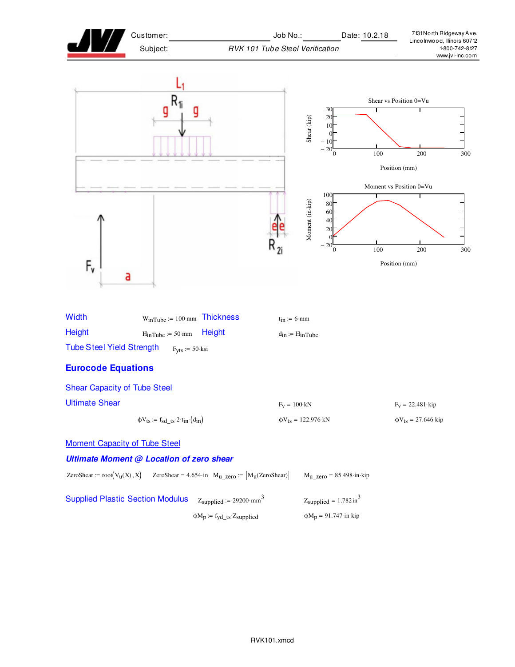| Customer:<br>Subject:                                                                                                                                                 | Job No.:<br>Date: 10.2.18<br>RVK 101 Tube Steel Verification                            | 7131 North Ridgeway Ave.<br>Lincolnwood, Illinois 60712<br>1-800-742-8127 |
|-----------------------------------------------------------------------------------------------------------------------------------------------------------------------|-----------------------------------------------------------------------------------------|---------------------------------------------------------------------------|
|                                                                                                                                                                       |                                                                                         | www.jvi-inc.com                                                           |
|                                                                                                                                                                       | 30<br>Shear (kip)<br>20<br>10<br>- 10<br>20<br>$\mathbf{0}$                             | Shear vs Position 0=Vu<br>100<br>200<br>300<br>Position (mm)              |
| F,<br>а                                                                                                                                                               | 100<br>Moment (in-kip)<br>80<br>60<br>40<br>20<br>$-20^{-6}$                            | Moment vs Position 0=Vu<br>100<br>200<br>300<br>Position (mm)             |
| Width<br>$W_{inTube} := 100 \cdot mm$ Thickness<br><b>Height</b><br><b>Height</b><br>$H_{inTube} := 50·mm$<br><b>Tube Steel Yield Strength</b><br>$F_{Vts} := 50$ ksi | $t_{in} := 6$ ·mm<br>$d_{in} := H_{in}$ Tube                                            |                                                                           |
| <b>Eurocode Equations</b>                                                                                                                                             |                                                                                         |                                                                           |
| <b>Shear Capacity of Tube Steel</b>                                                                                                                                   |                                                                                         |                                                                           |
| <b>Ultimate Shear</b>                                                                                                                                                 | $F_V = 100$ kN                                                                          | $F_V = 22.481$ kip                                                        |
| $\phi V_{ts} := f_{sd\_ts} \cdot 2 \cdot t_{in} \cdot (d_{in})$                                                                                                       | $\phi V_{ts} = 122.976$ kN                                                              | $\Phi V_{ts} = 27.646$ kip                                                |
| <b>Moment Capacity of Tube Steel</b>                                                                                                                                  |                                                                                         |                                                                           |
| <b>Ultimate Moment @ Location of zero shear</b>                                                                                                                       |                                                                                         |                                                                           |
| ZeroShear := $root(V_u(X), X)$<br>ZeroShear = 4.654·in $M_{u\_zero} :=  M_u(ZeroShear) $                                                                              | $M_{\text{U}_{\text{Z}ETO}} = 85.498 \cdot \text{in} \cdot \text{kip}$                  |                                                                           |
| <b>Supplied Plastic Section Modulus</b><br>$Z_{\text{supplied}} := 29200 \cdot \text{mm}^3$<br>$\phi M_p := f_{yd\_ts} Z_{supplied}$                                  | $Z_{\text{supplied}} = 1.782 \text{ in}^3$<br>$\varphi M_p = 91.747 \cdot in \cdot kip$ |                                                                           |